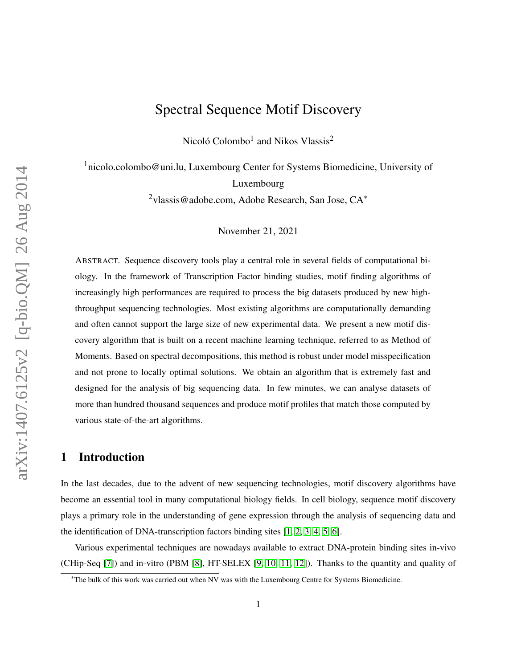# Spectral Sequence Motif Discovery

Nicoló Colombo<sup>1</sup> and Nikos Vlassis<sup>2</sup>

<sup>1</sup>nicolo.colombo@uni.lu, Luxembourg Center for Systems Biomedicine, University of Luxembourg <sup>2</sup>vlassis@adobe.com, Adobe Research, San Jose, CA<sup>∗</sup>

November 21, 2021

ABSTRACT. Sequence discovery tools play a central role in several fields of computational biology. In the framework of Transcription Factor binding studies, motif finding algorithms of increasingly high performances are required to process the big datasets produced by new highthroughput sequencing technologies. Most existing algorithms are computationally demanding and often cannot support the large size of new experimental data. We present a new motif discovery algorithm that is built on a recent machine learning technique, referred to as Method of Moments. Based on spectral decompositions, this method is robust under model misspecification and not prone to locally optimal solutions. We obtain an algorithm that is extremely fast and designed for the analysis of big sequencing data. In few minutes, we can analyse datasets of more than hundred thousand sequences and produce motif profiles that match those computed by various state-of-the-art algorithms.

## 1 Introduction

In the last decades, due to the advent of new sequencing technologies, motif discovery algorithms have become an essential tool in many computational biology fields. In cell biology, sequence motif discovery plays a primary role in the understanding of gene expression through the analysis of sequencing data and the identification of DNA-transcription factors binding sites  $[1, 2, 3, 4, 5, 6]$  $[1, 2, 3, 4, 5, 6]$  $[1, 2, 3, 4, 5, 6]$  $[1, 2, 3, 4, 5, 6]$  $[1, 2, 3, 4, 5, 6]$  $[1, 2, 3, 4, 5, 6]$ .

Various experimental techniques are nowadays available to extract DNA-protein binding sites in-vivo (CHip-Seq [\[7\]](#page-11-5)) and in-vitro (PBM [\[8\]](#page-11-6), HT-SELEX [\[9,](#page-11-7) [10,](#page-11-8) [11,](#page-11-9) [12\]](#page-12-0)). Thanks to the quantity and quality of

<sup>∗</sup>The bulk of this work was carried out when NV was with the Luxembourg Centre for Systems Biomedicine.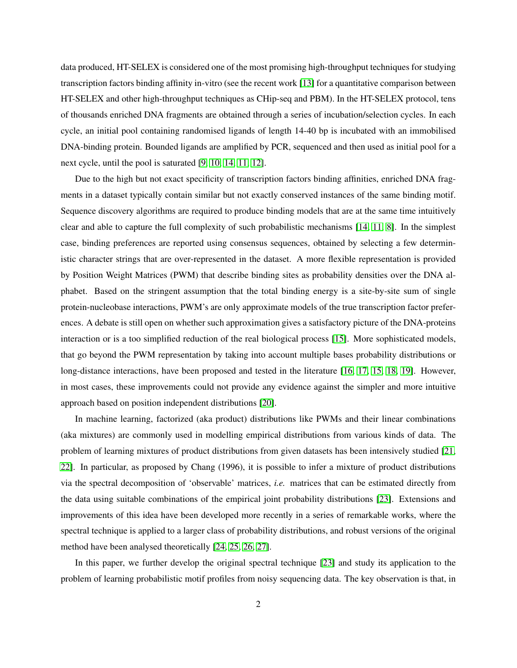data produced, HT-SELEX is considered one of the most promising high-throughput techniques for studying transcription factors binding affinity in-vitro (see the recent work [\[13\]](#page-12-1) for a quantitative comparison between HT-SELEX and other high-throughput techniques as CHip-seq and PBM). In the HT-SELEX protocol, tens of thousands enriched DNA fragments are obtained through a series of incubation/selection cycles. In each cycle, an initial pool containing randomised ligands of length 14-40 bp is incubated with an immobilised DNA-binding protein. Bounded ligands are amplified by PCR, sequenced and then used as initial pool for a next cycle, until the pool is saturated [\[9,](#page-11-7) [10,](#page-11-8) [14,](#page-12-2) [11,](#page-11-9) [12\]](#page-12-0).

Due to the high but not exact specificity of transcription factors binding affinities, enriched DNA fragments in a dataset typically contain similar but not exactly conserved instances of the same binding motif. Sequence discovery algorithms are required to produce binding models that are at the same time intuitively clear and able to capture the full complexity of such probabilistic mechanisms [\[14,](#page-12-2) [11,](#page-11-9) [8\]](#page-11-6). In the simplest case, binding preferences are reported using consensus sequences, obtained by selecting a few deterministic character strings that are over-represented in the dataset. A more flexible representation is provided by Position Weight Matrices (PWM) that describe binding sites as probability densities over the DNA alphabet. Based on the stringent assumption that the total binding energy is a site-by-site sum of single protein-nucleobase interactions, PWM's are only approximate models of the true transcription factor preferences. A debate is still open on whether such approximation gives a satisfactory picture of the DNA-proteins interaction or is a too simplified reduction of the real biological process [\[15\]](#page-12-3). More sophisticated models, that go beyond the PWM representation by taking into account multiple bases probability distributions or long-distance interactions, have been proposed and tested in the literature [\[16,](#page-12-4) [17,](#page-12-5) [15,](#page-12-3) [18,](#page-12-6) [19\]](#page-12-7). However, in most cases, these improvements could not provide any evidence against the simpler and more intuitive approach based on position independent distributions [\[20\]](#page-12-8).

In machine learning, factorized (aka product) distributions like PWMs and their linear combinations (aka mixtures) are commonly used in modelling empirical distributions from various kinds of data. The problem of learning mixtures of product distributions from given datasets has been intensively studied [\[21,](#page-12-9) [22\]](#page-12-10). In particular, as proposed by Chang (1996), it is possible to infer a mixture of product distributions via the spectral decomposition of 'observable' matrices, *i.e.* matrices that can be estimated directly from the data using suitable combinations of the empirical joint probability distributions [\[23\]](#page-13-0). Extensions and improvements of this idea have been developed more recently in a series of remarkable works, where the spectral technique is applied to a larger class of probability distributions, and robust versions of the original method have been analysed theoretically [\[24,](#page-13-1) [25,](#page-13-2) [26,](#page-13-3) [27\]](#page-13-4).

In this paper, we further develop the original spectral technique [\[23\]](#page-13-0) and study its application to the problem of learning probabilistic motif profiles from noisy sequencing data. The key observation is that, in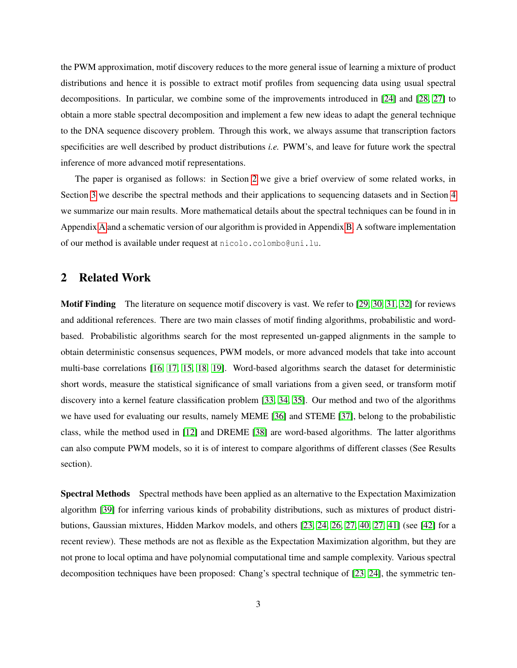the PWM approximation, motif discovery reduces to the more general issue of learning a mixture of product distributions and hence it is possible to extract motif profiles from sequencing data using usual spectral decompositions. In particular, we combine some of the improvements introduced in [\[24\]](#page-13-1) and [\[28,](#page-13-5) [27\]](#page-13-4) to obtain a more stable spectral decomposition and implement a few new ideas to adapt the general technique to the DNA sequence discovery problem. Through this work, we always assume that transcription factors specificities are well described by product distributions *i.e.* PWM's, and leave for future work the spectral inference of more advanced motif representations.

The paper is organised as follows: in Section [2](#page-2-0) we give a brief overview of some related works, in Section [3](#page-3-0) we describe the spectral methods and their applications to sequencing datasets and in Section [4](#page-6-0) we summarize our main results. More mathematical details about the spectral techniques can be found in in Appendix [A](#page-15-0) and a schematic version of our algorithm is provided in Appendix [B.](#page-20-0) A software implementation of our method is available under request at nicolo.colombo@uni.lu.

### <span id="page-2-0"></span>2 Related Work

Motif Finding The literature on sequence motif discovery is vast. We refer to [\[29,](#page-13-6) [30,](#page-13-7) [31,](#page-13-8) [32\]](#page-13-9) for reviews and additional references. There are two main classes of motif finding algorithms, probabilistic and wordbased. Probabilistic algorithms search for the most represented un-gapped alignments in the sample to obtain deterministic consensus sequences, PWM models, or more advanced models that take into account multi-base correlations [\[16,](#page-12-4) [17,](#page-12-5) [15,](#page-12-3) [18,](#page-12-6) [19\]](#page-12-7). Word-based algorithms search the dataset for deterministic short words, measure the statistical significance of small variations from a given seed, or transform motif discovery into a kernel feature classification problem [\[33,](#page-13-10) [34,](#page-13-11) [35\]](#page-14-0). Our method and two of the algorithms we have used for evaluating our results, namely MEME [\[36\]](#page-14-1) and STEME [\[37\]](#page-14-2), belong to the probabilistic class, while the method used in [\[12\]](#page-12-0) and DREME [\[38\]](#page-14-3) are word-based algorithms. The latter algorithms can also compute PWM models, so it is of interest to compare algorithms of different classes (See Results section).

Spectral Methods Spectral methods have been applied as an alternative to the Expectation Maximization algorithm [\[39\]](#page-14-4) for inferring various kinds of probability distributions, such as mixtures of product distributions, Gaussian mixtures, Hidden Markov models, and others [\[23,](#page-13-0) [24,](#page-13-1) [26,](#page-13-3) [27,](#page-13-4) [40,](#page-14-5) [27,](#page-13-4) [41\]](#page-14-6) (see [\[42\]](#page-14-7) for a recent review). These methods are not as flexible as the Expectation Maximization algorithm, but they are not prone to local optima and have polynomial computational time and sample complexity. Various spectral decomposition techniques have been proposed: Chang's spectral technique of [\[23,](#page-13-0) [24\]](#page-13-1), the symmetric ten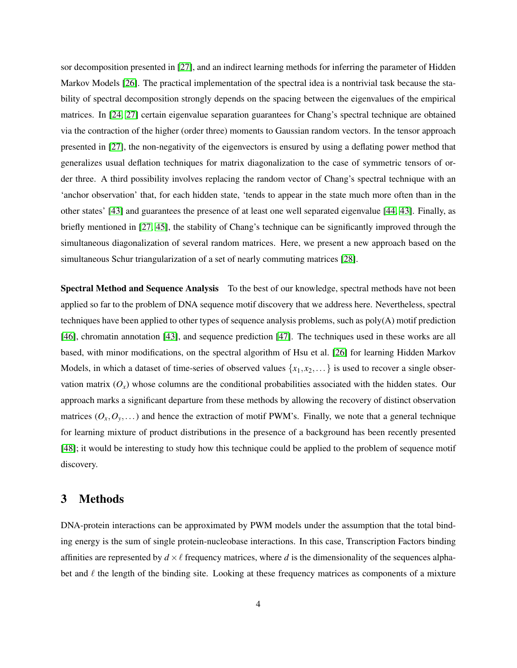sor decomposition presented in [\[27\]](#page-13-4), and an indirect learning methods for inferring the parameter of Hidden Markov Models [\[26\]](#page-13-3). The practical implementation of the spectral idea is a nontrivial task because the stability of spectral decomposition strongly depends on the spacing between the eigenvalues of the empirical matrices. In [\[24,](#page-13-1) [27\]](#page-13-4) certain eigenvalue separation guarantees for Chang's spectral technique are obtained via the contraction of the higher (order three) moments to Gaussian random vectors. In the tensor approach presented in [\[27\]](#page-13-4), the non-negativity of the eigenvectors is ensured by using a deflating power method that generalizes usual deflation techniques for matrix diagonalization to the case of symmetric tensors of order three. A third possibility involves replacing the random vector of Chang's spectral technique with an 'anchor observation' that, for each hidden state, 'tends to appear in the state much more often than in the other states' [\[43\]](#page-14-8) and guarantees the presence of at least one well separated eigenvalue [\[44,](#page-14-9) [43\]](#page-14-8). Finally, as briefly mentioned in [\[27,](#page-13-4) [45\]](#page-14-10), the stability of Chang's technique can be significantly improved through the simultaneous diagonalization of several random matrices. Here, we present a new approach based on the simultaneous Schur triangularization of a set of nearly commuting matrices [\[28\]](#page-13-5).

Spectral Method and Sequence Analysis To the best of our knowledge, spectral methods have not been applied so far to the problem of DNA sequence motif discovery that we address here. Nevertheless, spectral techniques have been applied to other types of sequence analysis problems, such as poly(A) motif prediction [\[46\]](#page-14-11), chromatin annotation [\[43\]](#page-14-8), and sequence prediction [\[47\]](#page-15-1). The techniques used in these works are all based, with minor modifications, on the spectral algorithm of Hsu et al. [\[26\]](#page-13-3) for learning Hidden Markov Models, in which a dataset of time-series of observed values  $\{x_1, x_2, \dots\}$  is used to recover a single observation matrix  $(O_x)$  whose columns are the conditional probabilities associated with the hidden states. Our approach marks a significant departure from these methods by allowing the recovery of distinct observation matrices  $(O_x, O_y, \dots)$  and hence the extraction of motif PWM's. Finally, we note that a general technique for learning mixture of product distributions in the presence of a background has been recently presented [\[48\]](#page-15-2); it would be interesting to study how this technique could be applied to the problem of sequence motif discovery.

### <span id="page-3-0"></span>3 Methods

DNA-protein interactions can be approximated by PWM models under the assumption that the total binding energy is the sum of single protein-nucleobase interactions. In this case, Transcription Factors binding affinities are represented by  $d \times \ell$  frequency matrices, where *d* is the dimensionality of the sequences alphabet and  $\ell$  the length of the binding site. Looking at these frequency matrices as components of a mixture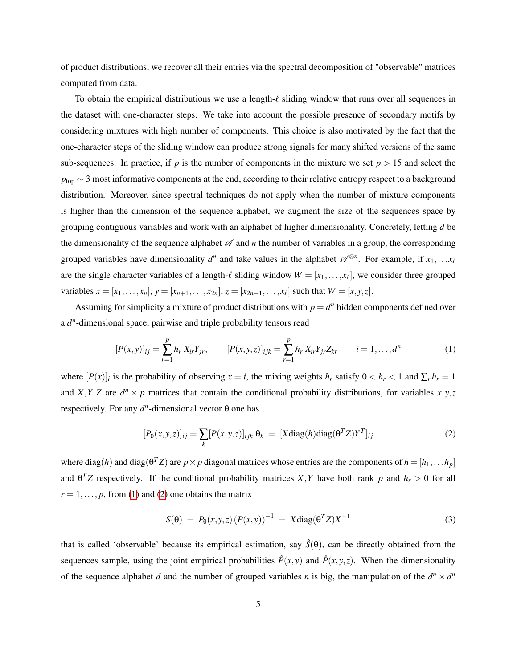of product distributions, we recover all their entries via the spectral decomposition of "observable" matrices computed from data.

To obtain the empirical distributions we use a length- $\ell$  sliding window that runs over all sequences in the dataset with one-character steps. We take into account the possible presence of secondary motifs by considering mixtures with high number of components. This choice is also motivated by the fact that the one-character steps of the sliding window can produce strong signals for many shifted versions of the same sub-sequences. In practice, if  $p$  is the number of components in the mixture we set  $p > 15$  and select the *p*<sub>top</sub> ∼ 3 most informative components at the end, according to their relative entropy respect to a background distribution. Moreover, since spectral techniques do not apply when the number of mixture components is higher than the dimension of the sequence alphabet, we augment the size of the sequences space by grouping contiguous variables and work with an alphabet of higher dimensionality. Concretely, letting *d* be the dimensionality of the sequence alphabet  $\mathscr A$  and *n* the number of variables in a group, the corresponding grouped variables have dimensionality  $d^n$  and take values in the alphabet  $\mathscr{A}^{\otimes n}$ . For example, if  $x_1, \ldots, x_\ell$ are the single character variables of a length- $\ell$  sliding window  $W = [x_1, \ldots, x_\ell]$ , we consider three grouped variables  $x = [x_1, \ldots, x_n], y = [x_{n+1}, \ldots, x_{2n}], z = [x_{2n+1}, \ldots, x_\ell]$  such that  $W = [x, y, z].$ 

Assuming for simplicity a mixture of product distributions with  $p = d^n$  hidden components defined over a  $d^n$ -dimensional space, pairwise and triple probability tensors read

<span id="page-4-0"></span>
$$
[P(x,y)]_{ij} = \sum_{r=1}^{p} h_r X_{ir} Y_{jr}, \qquad [P(x,y,z)]_{ijk} = \sum_{r=1}^{p} h_r X_{ir} Y_{jr} Z_{kr} \qquad i = 1, ..., d^n
$$
 (1)

where  $[P(x)]_i$  is the probability of observing  $x = i$ , the mixing weights  $h_r$  satisfy  $0 < h_r < 1$  and  $\sum_r h_r = 1$ and *X*, *Y*, *Z* are  $d^n \times p$  matrices that contain the conditional probability distributions, for variables *x*, *y*, *z* respectively. For any  $d^n$ -dimensional vector  $\theta$  one has

<span id="page-4-1"></span>
$$
[P_{\theta}(x, y, z)]_{ij} = \sum_{k} [P(x, y, z)]_{ijk} \ \theta_k = [X \text{diag}(h) \text{diag}(\theta^T Z) Y^T]_{ij}
$$
(2)

where  $diag(h)$  and  $diag(\theta^T Z)$  are  $p \times p$  diagonal matrices whose entries are the components of  $h = [h_1, \ldots h_p]$ and  $\theta^T Z$  respectively. If the conditional probability matrices *X*, *Y* have both rank *p* and  $h_r > 0$  for all  $r = 1, \ldots, p$ , from [\(1\)](#page-4-0) and [\(2\)](#page-4-1) one obtains the matrix

<span id="page-4-2"></span>
$$
S(\theta) = P_{\theta}(x, y, z) (P(x, y))^{-1} = X \text{diag}(\theta^T Z) X^{-1}
$$
\n(3)

that is called 'observable' because its empirical estimation, say  $\hat{S}(\theta)$ , can be directly obtained from the sequences sample, using the joint empirical probabilities  $\hat{P}(x, y)$  and  $\hat{P}(x, y, z)$ . When the dimensionality of the sequence alphabet *d* and the number of grouped variables *n* is big, the manipulation of the  $d^n \times d^n$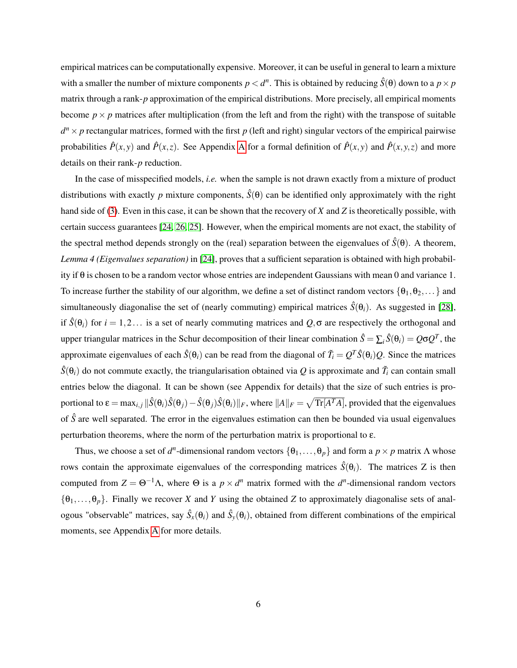empirical matrices can be computationally expensive. Moreover, it can be useful in general to learn a mixture with a smaller the number of mixture components  $p < d^n$ . This is obtained by reducing  $\hat{S}(\theta)$  down to a  $p \times p$ matrix through a rank-*p* approximation of the empirical distributions. More precisely, all empirical moments become  $p \times p$  matrices after multiplication (from the left and from the right) with the transpose of suitable  $d^n \times p$  rectangular matrices, formed with the first *p* (left and right) singular vectors of the empirical pairwise probabilities  $\hat{P}(x, y)$  and  $\hat{P}(x, z)$ . See [A](#page-15-0)ppendix A for a formal definition of  $\hat{P}(x, y)$  and  $\hat{P}(x, y, z)$  and more details on their rank-*p* reduction.

In the case of misspecified models, *i.e.* when the sample is not drawn exactly from a mixture of product distributions with exactly *p* mixture components,  $\hat{S}(\theta)$  can be identified only approximately with the right hand side of [\(3\)](#page-4-2). Even in this case, it can be shown that the recovery of *X* and *Z* is theoretically possible, with certain success guarantees [\[24,](#page-13-1) [26,](#page-13-3) [25\]](#page-13-2). However, when the empirical moments are not exact, the stability of the spectral method depends strongly on the (real) separation between the eigenvalues of  $\hat{S}(\theta)$ . A theorem, *Lemma 4 (Eigenvalues separation)* in [\[24\]](#page-13-1), proves that a sufficient separation is obtained with high probability if θ is chosen to be a random vector whose entries are independent Gaussians with mean 0 and variance 1. To increase further the stability of our algorithm, we define a set of distinct random vectors  $\{\theta_1, \theta_2, ...\}$  and simultaneously diagonalise the set of (nearly commuting) empirical matrices  $\hat{S}(\theta_i)$ . As suggested in [\[28\]](#page-13-5), if  $\hat{S}(\theta_i)$  for  $i = 1, 2...$  is a set of nearly commuting matrices and  $Q, \sigma$  are respectively the orthogonal and upper triangular matrices in the Schur decomposition of their linear combination  $\hat{S} = \sum_i \hat{S}(\theta_i) = Q\sigma Q^T$ , the approximate eigenvalues of each  $\hat{S}(\theta_i)$  can be read from the diagonal of  $\tilde{T}_i = Q^T \hat{S}(\theta_i)Q$ . Since the matrices  $\hat{S}(\theta_i)$  do not commute exactly, the triangularisation obtained via  $Q$  is approximate and  $\tilde{T}_i$  can contain small entries below the diagonal. It can be shown (see Appendix for details) that the size of such entries is proportional to  $\varepsilon = \max_{i,j} \|\hat{S}(\theta_i)\hat{S}(\theta_j)-\hat{S}(\theta_j)\hat{S}(\theta_i)\|_F$ , where  $\|A\|_F = \sqrt{\text{Tr}[A^TA]}$ , provided that the eigenvalues of  $\hat{S}$  are well separated. The error in the eigenvalues estimation can then be bounded via usual eigenvalues perturbation theorems, where the norm of the perturbation matrix is proportional to ε.

Thus, we choose a set of  $d^n$ -dimensional random vectors  $\{\theta_1,\ldots,\theta_p\}$  and form a  $p \times p$  matrix  $\Lambda$  whose rows contain the approximate eigenvalues of the corresponding matrices  $\hat{S}(\theta_i)$ . The matrices Z is then computed from  $Z = \Theta^{-1}\Lambda$ , where  $\Theta$  is a  $p \times d^n$  matrix formed with the  $d^n$ -dimensional random vectors  $\{\theta_1,\ldots,\theta_p\}$ . Finally we recover *X* and *Y* using the obtained *Z* to approximately diagonalise sets of analogous "observable" matrices, say  $\hat{S}_x(\theta_i)$  and  $\hat{S}_y(\theta_i)$ , obtained from different combinations of the empirical moments, see Appendix [A](#page-15-0) for more details.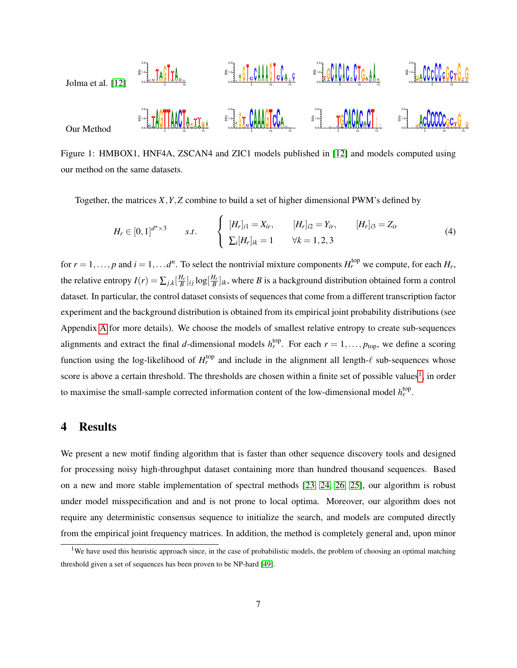<span id="page-6-2"></span>

Figure 1: HMBOX1, HNF4A, ZSCAN4 and ZIC1 models published in [\[12\]](#page-12-0) and models computed using our method on the same datasets.

Together, the matrices *X*,*Y*,*Z* combine to build a set of higher dimensional PWM's defined by

$$
H_r \in [0,1]^{d^n \times 3} \qquad s.t. \qquad \begin{cases} [H_r]_{i1} = X_{ir}, & [H_r]_{i2} = Y_{ir}, & [H_r]_{i3} = Z_{ir} \\ \sum_i [H_r]_{ik} = 1 & \forall k = 1,2,3 \end{cases} \tag{4}
$$

for  $r = 1, \ldots, p$  and  $i = 1, \ldots, d^n$ . To select the nontrivial mixture components  $H_r^{\text{top}}$  we compute, for each  $H_r$ , the relative entropy  $I(r) = \sum_{j,k} \left[\frac{H_r}{B}\right]_{ij} \log\left[\frac{H_r}{B}\right]_{ik}$ , where *B* is a background distribution obtained form a control dataset. In particular, the control dataset consists of sequences that come from a different transcription factor experiment and the background distribution is obtained from its empirical joint probability distributions (see Appendix [A](#page-15-0) for more details). We choose the models of smallest relative entropy to create sub-sequences alignments and extract the final *d*-dimensional models  $h_r^{\text{top}}$ . For each  $r = 1, \ldots, p_{\text{top}}$ , we define a scoring function using the log-likelihood of  $H_r^{top}$  and include in the alignment all length- $\ell$  sub-sequences whose score is above a certain threshold. The thresholds are chosen within a finite set of possible values<sup>[1](#page-6-1)</sup>, in order to maximise the small-sample corrected information content of the low-dimensional model  $h_r^{\text{top}}$ .

### <span id="page-6-0"></span>4 Results

We present a new motif finding algorithm that is faster than other sequence discovery tools and designed for processing noisy high-throughput dataset containing more than hundred thousand sequences. Based on a new and more stable implementation of spectral methods [\[23,](#page-13-0) [24,](#page-13-1) [26,](#page-13-3) [25\]](#page-13-2), our algorithm is robust under model misspecification and and is not prone to local optima. Moreover, our algorithm does not require any deterministic consensus sequence to initialize the search, and models are computed directly from the empirical joint frequency matrices. In addition, the method is completely general and, upon minor

<span id="page-6-1"></span><sup>&</sup>lt;sup>1</sup>We have used this heuristic approach since, in the case of probabilistic models, the problem of choosing an optimal matching threshold given a set of sequences has been proven to be NP-hard [\[49\]](#page-15-3).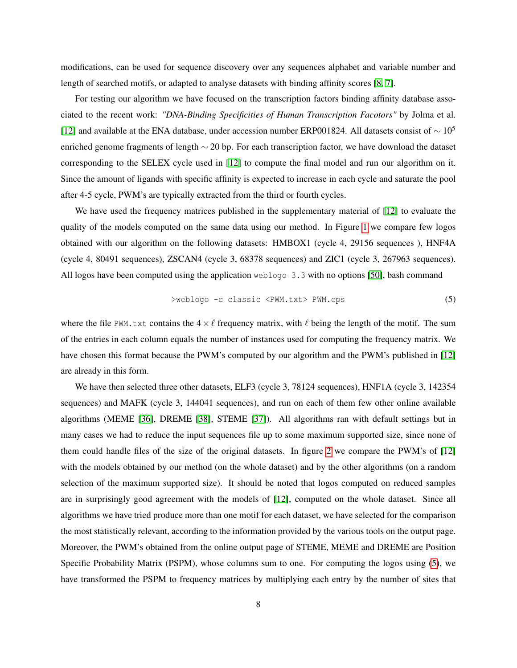modifications, can be used for sequence discovery over any sequences alphabet and variable number and length of searched motifs, or adapted to analyse datasets with binding affinity scores [\[8,](#page-11-6) [7\]](#page-11-5).

For testing our algorithm we have focused on the transcription factors binding affinity database associated to the recent work: *"DNA-Binding Specificities of Human Transcription Facotors"* by Jolma et al. [\[12\]](#page-12-0) and available at the ENA database, under accession number ERP001824. All datasets consist of  $\sim 10^5$ enriched genome fragments of length ∼ 20 bp. For each transcription factor, we have download the dataset corresponding to the SELEX cycle used in [\[12\]](#page-12-0) to compute the final model and run our algorithm on it. Since the amount of ligands with specific affinity is expected to increase in each cycle and saturate the pool after 4-5 cycle, PWM's are typically extracted from the third or fourth cycles.

We have used the frequency matrices published in the supplementary material of [\[12\]](#page-12-0) to evaluate the quality of the models computed on the same data using our method. In Figure [1](#page-6-2) we compare few logos obtained with our algorithm on the following datasets: HMBOX1 (cycle 4, 29156 sequences ), HNF4A (cycle 4, 80491 sequences), ZSCAN4 (cycle 3, 68378 sequences) and ZIC1 (cycle 3, 267963 sequences). All logos have been computed using the application weblogo 3.3 with no options [\[50\]](#page-15-4), bash command

<span id="page-7-0"></span>>weblogo -c classic <PWM.txt> PWM.eps (5)

where the file PWM.txt contains the  $4\times \ell$  frequency matrix, with  $\ell$  being the length of the motif. The sum of the entries in each column equals the number of instances used for computing the frequency matrix. We have chosen this format because the PWM's computed by our algorithm and the PWM's published in [\[12\]](#page-12-0) are already in this form.

We have then selected three other datasets, ELF3 (cycle 3, 78124 sequences), HNF1A (cycle 3, 142354 sequences) and MAFK (cycle 3, 144041 sequences), and run on each of them few other online available algorithms (MEME [\[36\]](#page-14-1), DREME [\[38\]](#page-14-3), STEME [\[37\]](#page-14-2)). All algorithms ran with default settings but in many cases we had to reduce the input sequences file up to some maximum supported size, since none of them could handle files of the size of the original datasets. In figure [2](#page-8-0) we compare the PWM's of [\[12\]](#page-12-0) with the models obtained by our method (on the whole dataset) and by the other algorithms (on a random selection of the maximum supported size). It should be noted that logos computed on reduced samples are in surprisingly good agreement with the models of [\[12\]](#page-12-0), computed on the whole dataset. Since all algorithms we have tried produce more than one motif for each dataset, we have selected for the comparison the most statistically relevant, according to the information provided by the various tools on the output page. Moreover, the PWM's obtained from the online output page of STEME, MEME and DREME are Position Specific Probability Matrix (PSPM), whose columns sum to one. For computing the logos using [\(5\)](#page-7-0), we have transformed the PSPM to frequency matrices by multiplying each entry by the number of sites that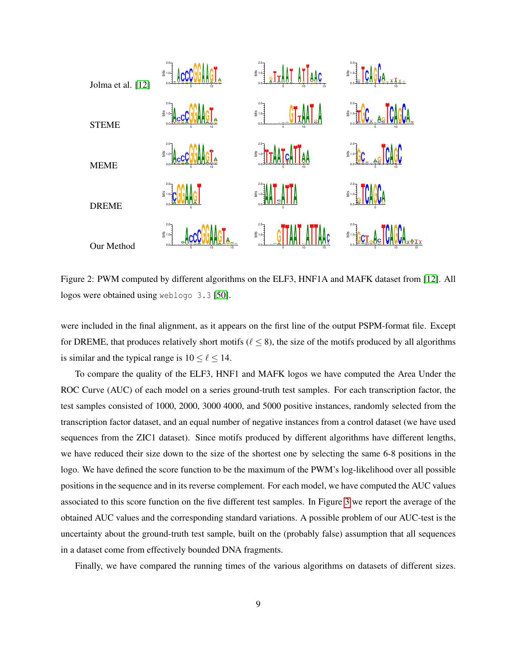<span id="page-8-0"></span>

Figure 2: PWM computed by different algorithms on the ELF3, HNF1A and MAFK dataset from [\[12\]](#page-12-0). All logos were obtained using weblogo 3.3 [\[50\]](#page-15-4).

were included in the final alignment, as it appears on the first line of the output PSPM-format file. Except for DREME, that produces relatively short motifs ( $\ell \leq 8$ ), the size of the motifs produced by all algorithms is similar and the typical range is  $10 \le \ell \le 14$ .

To compare the quality of the ELF3, HNF1 and MAFK logos we have computed the Area Under the ROC Curve (AUC) of each model on a series ground-truth test samples. For each transcription factor, the test samples consisted of 1000, 2000, 3000 4000, and 5000 positive instances, randomly selected from the transcription factor dataset, and an equal number of negative instances from a control dataset (we have used sequences from the ZIC1 dataset). Since motifs produced by different algorithms have different lengths, we have reduced their size down to the size of the shortest one by selecting the same 6-8 positions in the logo. We have defined the score function to be the maximum of the PWM's log-likelihood over all possible positions in the sequence and in its reverse complement. For each model, we have computed the AUC values associated to this score function on the five different test samples. In Figure [3](#page-9-0) we report the average of the obtained AUC values and the corresponding standard variations. A possible problem of our AUC-test is the uncertainty about the ground-truth test sample, built on the (probably false) assumption that all sequences in a dataset come from effectively bounded DNA fragments.

Finally, we have compared the running times of the various algorithms on datasets of different sizes.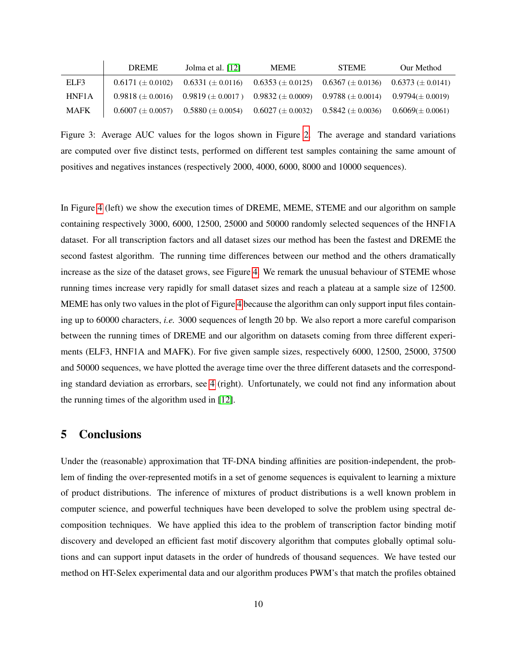<span id="page-9-0"></span>

|             | <b>DREME</b>            | Jolma et al. $[12]$                                                             | <b>MEME</b>                                     | <b>STEME</b>            | Our Method              |
|-------------|-------------------------|---------------------------------------------------------------------------------|-------------------------------------------------|-------------------------|-------------------------|
| ELF3        | $0.6171 \ (\pm 0.0102)$ | $0.6331 \ (\pm 0.0116)$                                                         | $0.6353 \ (\pm 0.0125)$ $0.6367 \ (\pm 0.0136)$ |                         | $0.6373 \ (\pm 0.0141)$ |
| HNF1A       |                         | $0.9818 \pm 0.0016$ $0.9819 \pm 0.0017$ $0.9832 \pm 0.0009$ $0.9788 \pm 0.0014$ |                                                 |                         | $0.9794(\pm 0.0019)$    |
| <b>MAFK</b> | $0.6007 \ (\pm 0.0057)$ | $0.5880 \ (\pm 0.0054)$                                                         | $0.6027 \ (\pm 0.0032)$                         | $0.5842 \ (\pm 0.0036)$ | $0.6069(\pm 0.0061)$    |

Figure 3: Average AUC values for the logos shown in Figure [2.](#page-8-0) The average and standard variations are computed over five distinct tests, performed on different test samples containing the same amount of positives and negatives instances (respectively 2000, 4000, 6000, 8000 and 10000 sequences).

In Figure [4](#page-10-1) (left) we show the execution times of DREME, MEME, STEME and our algorithm on sample containing respectively 3000, 6000, 12500, 25000 and 50000 randomly selected sequences of the HNF1A dataset. For all transcription factors and all dataset sizes our method has been the fastest and DREME the second fastest algorithm. The running time differences between our method and the others dramatically increase as the size of the dataset grows, see Figure [4.](#page-10-1) We remark the unusual behaviour of STEME whose running times increase very rapidly for small dataset sizes and reach a plateau at a sample size of 12500. MEME has only two values in the plot of Figure [4](#page-10-1) because the algorithm can only support input files containing up to 60000 characters, *i.e.* 3000 sequences of length 20 bp. We also report a more careful comparison between the running times of DREME and our algorithm on datasets coming from three different experiments (ELF3, HNF1A and MAFK). For five given sample sizes, respectively 6000, 12500, 25000, 37500 and 50000 sequences, we have plotted the average time over the three different datasets and the corresponding standard deviation as errorbars, see [4](#page-10-1) (right). Unfortunately, we could not find any information about the running times of the algorithm used in [\[12\]](#page-12-0).

## 5 Conclusions

Under the (reasonable) approximation that TF-DNA binding affinities are position-independent, the problem of finding the over-represented motifs in a set of genome sequences is equivalent to learning a mixture of product distributions. The inference of mixtures of product distributions is a well known problem in computer science, and powerful techniques have been developed to solve the problem using spectral decomposition techniques. We have applied this idea to the problem of transcription factor binding motif discovery and developed an efficient fast motif discovery algorithm that computes globally optimal solutions and can support input datasets in the order of hundreds of thousand sequences. We have tested our method on HT-Selex experimental data and our algorithm produces PWM's that match the profiles obtained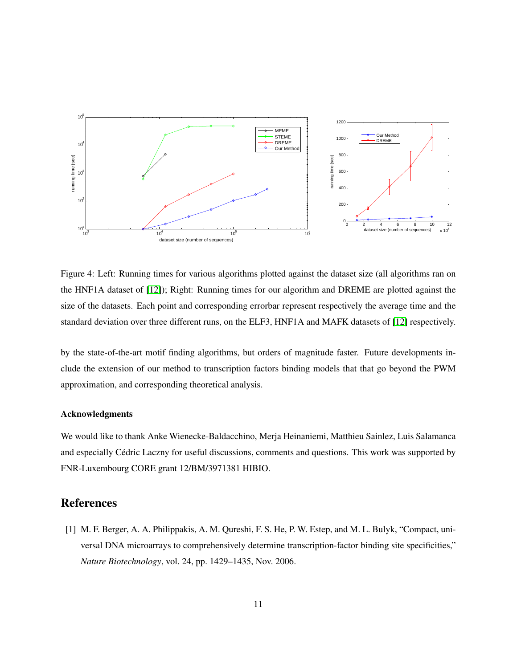<span id="page-10-1"></span>

Figure 4: Left: Running times for various algorithms plotted against the dataset size (all algorithms ran on the HNF1A dataset of [\[12\]](#page-12-0)); Right: Running times for our algorithm and DREME are plotted against the size of the datasets. Each point and corresponding errorbar represent respectively the average time and the standard deviation over three different runs, on the ELF3, HNF1A and MAFK datasets of [\[12\]](#page-12-0) respectively.

by the state-of-the-art motif finding algorithms, but orders of magnitude faster. Future developments include the extension of our method to transcription factors binding models that that go beyond the PWM approximation, and corresponding theoretical analysis.

#### Acknowledgments

We would like to thank Anke Wienecke-Baldacchino, Merja Heinaniemi, Matthieu Sainlez, Luis Salamanca and especially Cédric Laczny for useful discussions, comments and questions. This work was supported by FNR-Luxembourg CORE grant 12/BM/3971381 HIBIO.

## References

<span id="page-10-0"></span>[1] M. F. Berger, A. A. Philippakis, A. M. Qureshi, F. S. He, P. W. Estep, and M. L. Bulyk, "Compact, universal DNA microarrays to comprehensively determine transcription-factor binding site specificities," *Nature Biotechnology*, vol. 24, pp. 1429–1435, Nov. 2006.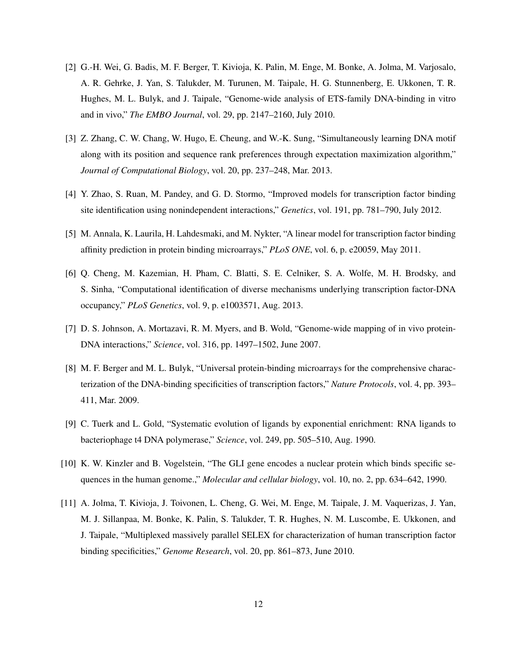- <span id="page-11-0"></span>[2] G.-H. Wei, G. Badis, M. F. Berger, T. Kivioja, K. Palin, M. Enge, M. Bonke, A. Jolma, M. Varjosalo, A. R. Gehrke, J. Yan, S. Talukder, M. Turunen, M. Taipale, H. G. Stunnenberg, E. Ukkonen, T. R. Hughes, M. L. Bulyk, and J. Taipale, "Genome-wide analysis of ETS-family DNA-binding in vitro and in vivo," *The EMBO Journal*, vol. 29, pp. 2147–2160, July 2010.
- <span id="page-11-1"></span>[3] Z. Zhang, C. W. Chang, W. Hugo, E. Cheung, and W.-K. Sung, "Simultaneously learning DNA motif along with its position and sequence rank preferences through expectation maximization algorithm," *Journal of Computational Biology*, vol. 20, pp. 237–248, Mar. 2013.
- <span id="page-11-2"></span>[4] Y. Zhao, S. Ruan, M. Pandey, and G. D. Stormo, "Improved models for transcription factor binding site identification using nonindependent interactions," *Genetics*, vol. 191, pp. 781–790, July 2012.
- <span id="page-11-3"></span>[5] M. Annala, K. Laurila, H. Lahdesmaki, and M. Nykter, "A linear model for transcription factor binding affinity prediction in protein binding microarrays," *PLoS ONE*, vol. 6, p. e20059, May 2011.
- <span id="page-11-4"></span>[6] Q. Cheng, M. Kazemian, H. Pham, C. Blatti, S. E. Celniker, S. A. Wolfe, M. H. Brodsky, and S. Sinha, "Computational identification of diverse mechanisms underlying transcription factor-DNA occupancy," *PLoS Genetics*, vol. 9, p. e1003571, Aug. 2013.
- <span id="page-11-5"></span>[7] D. S. Johnson, A. Mortazavi, R. M. Myers, and B. Wold, "Genome-wide mapping of in vivo protein-DNA interactions," *Science*, vol. 316, pp. 1497–1502, June 2007.
- <span id="page-11-6"></span>[8] M. F. Berger and M. L. Bulyk, "Universal protein-binding microarrays for the comprehensive characterization of the DNA-binding specificities of transcription factors," *Nature Protocols*, vol. 4, pp. 393– 411, Mar. 2009.
- <span id="page-11-7"></span>[9] C. Tuerk and L. Gold, "Systematic evolution of ligands by exponential enrichment: RNA ligands to bacteriophage t4 DNA polymerase," *Science*, vol. 249, pp. 505–510, Aug. 1990.
- <span id="page-11-8"></span>[10] K. W. Kinzler and B. Vogelstein, "The GLI gene encodes a nuclear protein which binds specific sequences in the human genome.," *Molecular and cellular biology*, vol. 10, no. 2, pp. 634–642, 1990.
- <span id="page-11-9"></span>[11] A. Jolma, T. Kivioja, J. Toivonen, L. Cheng, G. Wei, M. Enge, M. Taipale, J. M. Vaquerizas, J. Yan, M. J. Sillanpaa, M. Bonke, K. Palin, S. Talukder, T. R. Hughes, N. M. Luscombe, E. Ukkonen, and J. Taipale, "Multiplexed massively parallel SELEX for characterization of human transcription factor binding specificities," *Genome Research*, vol. 20, pp. 861–873, June 2010.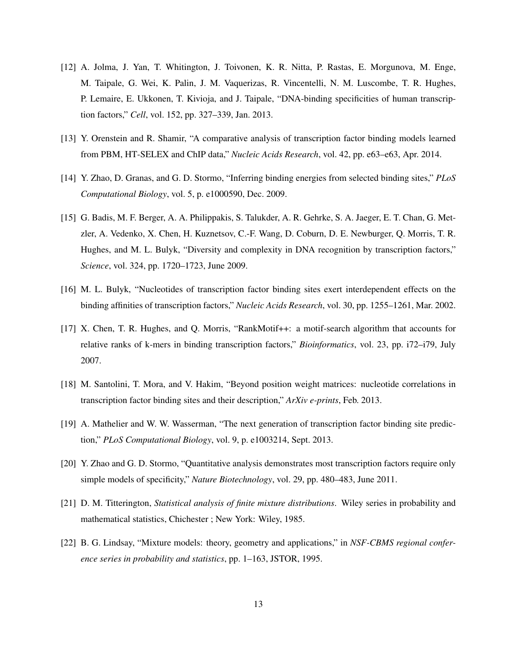- <span id="page-12-0"></span>[12] A. Jolma, J. Yan, T. Whitington, J. Toivonen, K. R. Nitta, P. Rastas, E. Morgunova, M. Enge, M. Taipale, G. Wei, K. Palin, J. M. Vaquerizas, R. Vincentelli, N. M. Luscombe, T. R. Hughes, P. Lemaire, E. Ukkonen, T. Kivioja, and J. Taipale, "DNA-binding specificities of human transcription factors," *Cell*, vol. 152, pp. 327–339, Jan. 2013.
- <span id="page-12-1"></span>[13] Y. Orenstein and R. Shamir, "A comparative analysis of transcription factor binding models learned from PBM, HT-SELEX and ChIP data," *Nucleic Acids Research*, vol. 42, pp. e63–e63, Apr. 2014.
- <span id="page-12-2"></span>[14] Y. Zhao, D. Granas, and G. D. Stormo, "Inferring binding energies from selected binding sites," *PLoS Computational Biology*, vol. 5, p. e1000590, Dec. 2009.
- <span id="page-12-3"></span>[15] G. Badis, M. F. Berger, A. A. Philippakis, S. Talukder, A. R. Gehrke, S. A. Jaeger, E. T. Chan, G. Metzler, A. Vedenko, X. Chen, H. Kuznetsov, C.-F. Wang, D. Coburn, D. E. Newburger, Q. Morris, T. R. Hughes, and M. L. Bulyk, "Diversity and complexity in DNA recognition by transcription factors," *Science*, vol. 324, pp. 1720–1723, June 2009.
- <span id="page-12-4"></span>[16] M. L. Bulyk, "Nucleotides of transcription factor binding sites exert interdependent effects on the binding affinities of transcription factors," *Nucleic Acids Research*, vol. 30, pp. 1255–1261, Mar. 2002.
- <span id="page-12-5"></span>[17] X. Chen, T. R. Hughes, and Q. Morris, "RankMotif++: a motif-search algorithm that accounts for relative ranks of k-mers in binding transcription factors," *Bioinformatics*, vol. 23, pp. i72–i79, July 2007.
- <span id="page-12-6"></span>[18] M. Santolini, T. Mora, and V. Hakim, "Beyond position weight matrices: nucleotide correlations in transcription factor binding sites and their description," *ArXiv e-prints*, Feb. 2013.
- <span id="page-12-7"></span>[19] A. Mathelier and W. W. Wasserman, "The next generation of transcription factor binding site prediction," *PLoS Computational Biology*, vol. 9, p. e1003214, Sept. 2013.
- <span id="page-12-8"></span>[20] Y. Zhao and G. D. Stormo, "Quantitative analysis demonstrates most transcription factors require only simple models of specificity," *Nature Biotechnology*, vol. 29, pp. 480–483, June 2011.
- <span id="page-12-9"></span>[21] D. M. Titterington, *Statistical analysis of finite mixture distributions*. Wiley series in probability and mathematical statistics, Chichester ; New York: Wiley, 1985.
- <span id="page-12-10"></span>[22] B. G. Lindsay, "Mixture models: theory, geometry and applications," in *NSF-CBMS regional conference series in probability and statistics*, pp. 1–163, JSTOR, 1995.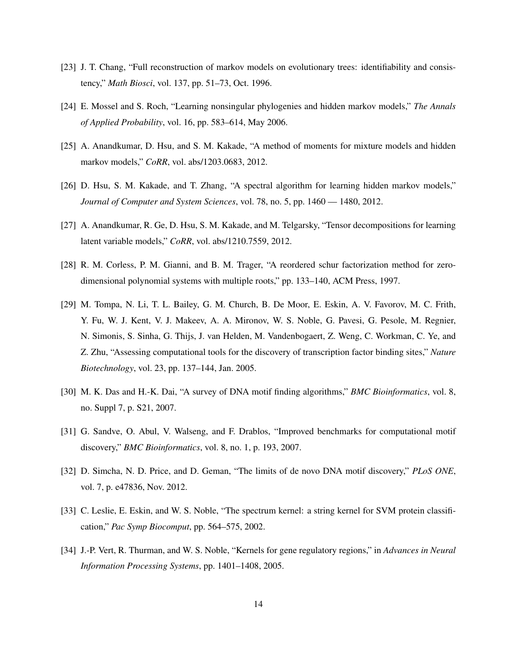- <span id="page-13-0"></span>[23] J. T. Chang, "Full reconstruction of markov models on evolutionary trees: identifiability and consistency," *Math Biosci*, vol. 137, pp. 51–73, Oct. 1996.
- <span id="page-13-1"></span>[24] E. Mossel and S. Roch, "Learning nonsingular phylogenies and hidden markov models," *The Annals of Applied Probability*, vol. 16, pp. 583–614, May 2006.
- <span id="page-13-2"></span>[25] A. Anandkumar, D. Hsu, and S. M. Kakade, "A method of moments for mixture models and hidden markov models," *CoRR*, vol. abs/1203.0683, 2012.
- <span id="page-13-3"></span>[26] D. Hsu, S. M. Kakade, and T. Zhang, "A spectral algorithm for learning hidden markov models," *Journal of Computer and System Sciences*, vol. 78, no. 5, pp. 1460 — 1480, 2012.
- <span id="page-13-4"></span>[27] A. Anandkumar, R. Ge, D. Hsu, S. M. Kakade, and M. Telgarsky, "Tensor decompositions for learning latent variable models," *CoRR*, vol. abs/1210.7559, 2012.
- <span id="page-13-5"></span>[28] R. M. Corless, P. M. Gianni, and B. M. Trager, "A reordered schur factorization method for zerodimensional polynomial systems with multiple roots," pp. 133–140, ACM Press, 1997.
- <span id="page-13-6"></span>[29] M. Tompa, N. Li, T. L. Bailey, G. M. Church, B. De Moor, E. Eskin, A. V. Favorov, M. C. Frith, Y. Fu, W. J. Kent, V. J. Makeev, A. A. Mironov, W. S. Noble, G. Pavesi, G. Pesole, M. Regnier, N. Simonis, S. Sinha, G. Thijs, J. van Helden, M. Vandenbogaert, Z. Weng, C. Workman, C. Ye, and Z. Zhu, "Assessing computational tools for the discovery of transcription factor binding sites," *Nature Biotechnology*, vol. 23, pp. 137–144, Jan. 2005.
- <span id="page-13-7"></span>[30] M. K. Das and H.-K. Dai, "A survey of DNA motif finding algorithms," *BMC Bioinformatics*, vol. 8, no. Suppl 7, p. S21, 2007.
- <span id="page-13-8"></span>[31] G. Sandve, O. Abul, V. Walseng, and F. Drablos, "Improved benchmarks for computational motif discovery," *BMC Bioinformatics*, vol. 8, no. 1, p. 193, 2007.
- <span id="page-13-9"></span>[32] D. Simcha, N. D. Price, and D. Geman, "The limits of de novo DNA motif discovery," *PLoS ONE*, vol. 7, p. e47836, Nov. 2012.
- <span id="page-13-10"></span>[33] C. Leslie, E. Eskin, and W. S. Noble, "The spectrum kernel: a string kernel for SVM protein classification," *Pac Symp Biocomput*, pp. 564–575, 2002.
- <span id="page-13-11"></span>[34] J.-P. Vert, R. Thurman, and W. S. Noble, "Kernels for gene regulatory regions," in *Advances in Neural Information Processing Systems*, pp. 1401–1408, 2005.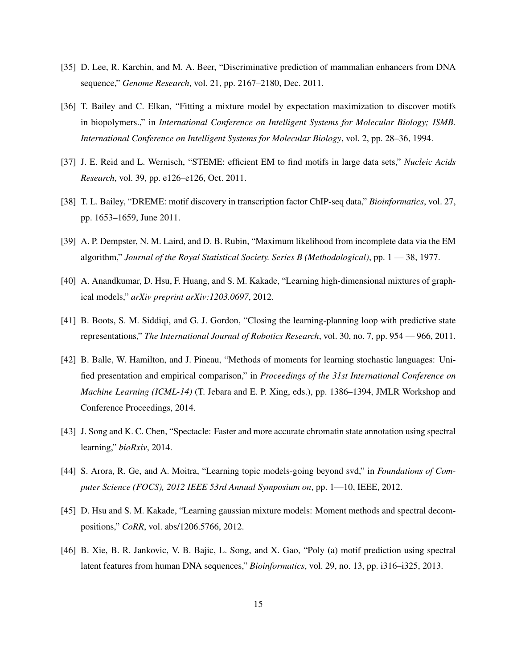- <span id="page-14-0"></span>[35] D. Lee, R. Karchin, and M. A. Beer, "Discriminative prediction of mammalian enhancers from DNA sequence," *Genome Research*, vol. 21, pp. 2167–2180, Dec. 2011.
- <span id="page-14-1"></span>[36] T. Bailey and C. Elkan, "Fitting a mixture model by expectation maximization to discover motifs in biopolymers.," in *International Conference on Intelligent Systems for Molecular Biology; ISMB. International Conference on Intelligent Systems for Molecular Biology*, vol. 2, pp. 28–36, 1994.
- <span id="page-14-2"></span>[37] J. E. Reid and L. Wernisch, "STEME: efficient EM to find motifs in large data sets," *Nucleic Acids Research*, vol. 39, pp. e126–e126, Oct. 2011.
- <span id="page-14-3"></span>[38] T. L. Bailey, "DREME: motif discovery in transcription factor ChIP-seq data," *Bioinformatics*, vol. 27, pp. 1653–1659, June 2011.
- <span id="page-14-4"></span>[39] A. P. Dempster, N. M. Laird, and D. B. Rubin, "Maximum likelihood from incomplete data via the EM algorithm," *Journal of the Royal Statistical Society. Series B (Methodological)*, pp. 1 — 38, 1977.
- <span id="page-14-5"></span>[40] A. Anandkumar, D. Hsu, F. Huang, and S. M. Kakade, "Learning high-dimensional mixtures of graphical models," *arXiv preprint arXiv:1203.0697*, 2012.
- <span id="page-14-6"></span>[41] B. Boots, S. M. Siddiqi, and G. J. Gordon, "Closing the learning-planning loop with predictive state representations," *The International Journal of Robotics Research*, vol. 30, no. 7, pp. 954 — 966, 2011.
- <span id="page-14-7"></span>[42] B. Balle, W. Hamilton, and J. Pineau, "Methods of moments for learning stochastic languages: Unified presentation and empirical comparison," in *Proceedings of the 31st International Conference on Machine Learning (ICML-14)* (T. Jebara and E. P. Xing, eds.), pp. 1386–1394, JMLR Workshop and Conference Proceedings, 2014.
- <span id="page-14-8"></span>[43] J. Song and K. C. Chen, "Spectacle: Faster and more accurate chromatin state annotation using spectral learning," *bioRxiv*, 2014.
- <span id="page-14-9"></span>[44] S. Arora, R. Ge, and A. Moitra, "Learning topic models-going beyond svd," in *Foundations of Computer Science (FOCS), 2012 IEEE 53rd Annual Symposium on*, pp. 1—10, IEEE, 2012.
- <span id="page-14-10"></span>[45] D. Hsu and S. M. Kakade, "Learning gaussian mixture models: Moment methods and spectral decompositions," *CoRR*, vol. abs/1206.5766, 2012.
- <span id="page-14-11"></span>[46] B. Xie, B. R. Jankovic, V. B. Bajic, L. Song, and X. Gao, "Poly (a) motif prediction using spectral latent features from human DNA sequences," *Bioinformatics*, vol. 29, no. 13, pp. i316–i325, 2013.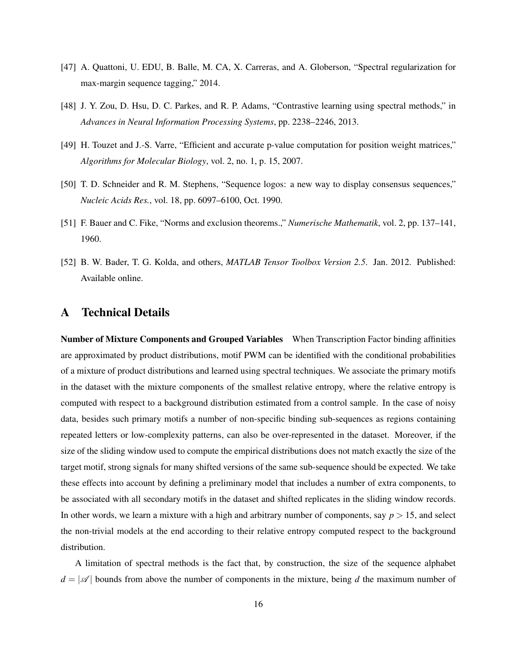- <span id="page-15-1"></span>[47] A. Quattoni, U. EDU, B. Balle, M. CA, X. Carreras, and A. Globerson, "Spectral regularization for max-margin sequence tagging," 2014.
- <span id="page-15-2"></span>[48] J. Y. Zou, D. Hsu, D. C. Parkes, and R. P. Adams, "Contrastive learning using spectral methods," in *Advances in Neural Information Processing Systems*, pp. 2238–2246, 2013.
- <span id="page-15-3"></span>[49] H. Touzet and J.-S. Varre, "Efficient and accurate p-value computation for position weight matrices," *Algorithms for Molecular Biology*, vol. 2, no. 1, p. 15, 2007.
- <span id="page-15-4"></span>[50] T. D. Schneider and R. M. Stephens, "Sequence logos: a new way to display consensus sequences," *Nucleic Acids Res.*, vol. 18, pp. 6097–6100, Oct. 1990.
- <span id="page-15-5"></span>[51] F. Bauer and C. Fike, "Norms and exclusion theorems.," *Numerische Mathematik*, vol. 2, pp. 137–141, 1960.
- <span id="page-15-6"></span>[52] B. W. Bader, T. G. Kolda, and others, *MATLAB Tensor Toolbox Version 2.5*. Jan. 2012. Published: Available online.

## <span id="page-15-0"></span>A Technical Details

Number of Mixture Components and Grouped Variables When Transcription Factor binding affinities are approximated by product distributions, motif PWM can be identified with the conditional probabilities of a mixture of product distributions and learned using spectral techniques. We associate the primary motifs in the dataset with the mixture components of the smallest relative entropy, where the relative entropy is computed with respect to a background distribution estimated from a control sample. In the case of noisy data, besides such primary motifs a number of non-specific binding sub-sequences as regions containing repeated letters or low-complexity patterns, can also be over-represented in the dataset. Moreover, if the size of the sliding window used to compute the empirical distributions does not match exactly the size of the target motif, strong signals for many shifted versions of the same sub-sequence should be expected. We take these effects into account by defining a preliminary model that includes a number of extra components, to be associated with all secondary motifs in the dataset and shifted replicates in the sliding window records. In other words, we learn a mixture with a high and arbitrary number of components, say  $p > 15$ , and select the non-trivial models at the end according to their relative entropy computed respect to the background distribution.

A limitation of spectral methods is the fact that, by construction, the size of the sequence alphabet  $d = |\mathscr{A}|$  bounds from above the number of components in the mixture, being *d* the maximum number of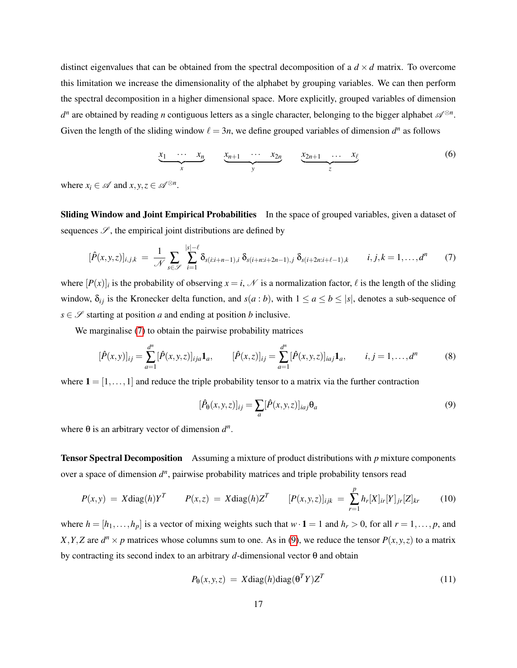distinct eigenvalues that can be obtained from the spectral decomposition of a  $d \times d$  matrix. To overcome this limitation we increase the dimensionality of the alphabet by grouping variables. We can then perform the spectral decomposition in a higher dimensional space. More explicitly, grouped variables of dimension  $d^n$  are obtained by reading *n* contiguous letters as a single character, belonging to the bigger alphabet  $\mathscr{A}^{\otimes n}$ . Given the length of the sliding window  $\ell = 3n$ , we define grouped variables of dimension  $d^n$  as follows

$$
\underbrace{x_1 \cdots x_n}_{x} \qquad \underbrace{x_{n+1} \cdots x_{2n}}_{y} \qquad \underbrace{x_{2n+1} \cdots x_{\ell}}_{z} \qquad (6)
$$

where  $x_i \in \mathcal{A}$  and  $x, y, z \in \mathcal{A}^{\otimes n}$ .

Sliding Window and Joint Empirical Probabilities In the space of grouped variables, given a dataset of sequences  $\mathscr{S}$ , the empirical joint distributions are defined by

<span id="page-16-0"></span>
$$
[\hat{P}(x,y,z)]_{i,j,k} = \frac{1}{\mathcal{N}} \sum_{s \in \mathcal{S}} \sum_{i=1}^{|s|-\ell} \delta_{s(i:i+n-1),i} \, \delta_{s(i+n:i+2n-1),j} \, \delta_{s(i+2n:i+\ell-1),k} \qquad i,j,k = 1,\ldots,d^n \qquad (7)
$$

where  $[P(x)]_i$  is the probability of observing  $x = i$ ,  $N$  is a normalization factor,  $\ell$  is the length of the sliding window,  $\delta_{ij}$  is the Kronecker delta function, and  $s(a:b)$ , with  $1 \le a \le b \le |s|$ , denotes a sub-sequence of *s*  $\in \mathcal{S}$  starting at position *a* and ending at position *b* inclusive.

We marginalise [\(7\)](#page-16-0) to obtain the pairwise probability matrices

$$
[\hat{P}(x,y)]_{ij} = \sum_{a=1}^{d^n} [\hat{P}(x,y,z)]_{ija} \mathbf{1}_a, \qquad [\hat{P}(x,z)]_{ij} = \sum_{a=1}^{d^n} [\hat{P}(x,y,z)]_{iaj} \mathbf{1}_a, \qquad i,j = 1,\ldots,d^n \tag{8}
$$

where  $\mathbf{1} = [1, \ldots, 1]$  and reduce the triple probability tensor to a matrix via the further contraction

<span id="page-16-1"></span>
$$
[\hat{P}_{\theta}(x, y, z)]_{ij} = \sum_{a} [\hat{P}(x, y, z)]_{iaj} \theta_a \tag{9}
$$

where  $\theta$  is an arbitrary vector of dimension  $d^n$ .

Tensor Spectral Decomposition Assuming a mixture of product distributions with *p* mixture components over a space of dimension  $d^n$ , pairwise probability matrices and triple probability tensors read

$$
P(x,y) = X \text{diag}(h) Y^T \qquad P(x,z) = X \text{diag}(h) Z^T \qquad [P(x,y,z)]_{ijk} = \sum_{r=1}^p h_r[X]_{ir}[Y]_{jr}[Z]_{kr} \qquad (10)
$$

where  $h = [h_1, \ldots, h_p]$  is a vector of mixing weights such that  $w \cdot \mathbf{1} = 1$  and  $h_r > 0$ , for all  $r = 1, \ldots, p$ , and *X*, *Y*, *Z* are  $d^n \times p$  matrices whose columns sum to one. As in [\(9\)](#page-16-1), we reduce the tensor  $P(x, y, z)$  to a matrix by contracting its second index to an arbitrary *d*-dimensional vector θ and obtain

$$
P_{\theta}(x, y, z) = X \text{diag}(h) \text{diag}(\theta^T Y) Z^T \tag{11}
$$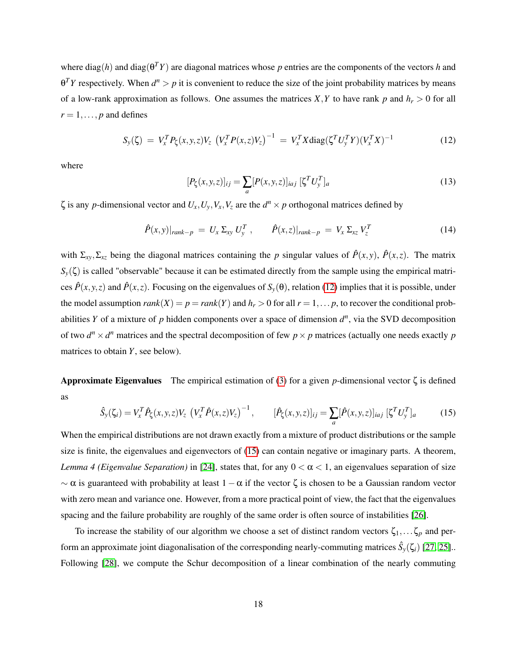where diag(*h*) and diag(θ *<sup>T</sup>Y*) are diagonal matrices whose *p* entries are the components of the vectors *h* and  $\theta^T Y$  respectively. When  $d^n > p$  it is convenient to reduce the size of the joint probability matrices by means of a low-rank approximation as follows. One assumes the matrices *X*, *Y* to have rank *p* and  $h_r > 0$  for all  $r = 1, \ldots, p$  and defines

<span id="page-17-0"></span>
$$
S_{y}(\zeta) = V_{x}^{T} P_{\zeta}(x, y, z) V_{z} \left( V_{x}^{T} P(x, z) V_{z} \right)^{-1} = V_{x}^{T} X \text{diag}(\zeta^{T} U_{y}^{T} Y) (V_{x}^{T} X)^{-1}
$$
(12)

where

$$
[P_{\zeta}(x, y, z)]_{ij} = \sum_{a} [P(x, y, z)]_{iaj} [\zeta^T U_y^T]_a
$$
 (13)

 $\zeta$  is any *p*-dimensional vector and  $U_x, U_y, V_x, V_z$  are the  $d^n \times p$  orthogonal matrices defined by

$$
\hat{P}(x,y)|_{rank-p} = U_x \Sigma_{xy} U_y^T, \qquad \hat{P}(x,z)|_{rank-p} = V_x \Sigma_{xz} V_z^T
$$
\n(14)

with  $\Sigma_{xy}$ ,  $\Sigma_{xz}$  being the diagonal matrices containing the *p* singular values of  $\hat{P}(x, y)$ ,  $\hat{P}(x, z)$ . The matrix *S*<sup>*y*</sup>(ζ) is called "observable" because it can be estimated directly from the sample using the empirical matrices  $\hat{P}(x, y, z)$  and  $\hat{P}(x, z)$ . Focusing on the eigenvalues of  $S_y(\theta)$ , relation [\(12\)](#page-17-0) implies that it is possible, under the model assumption  $rank(X) = p = rank(Y)$  and  $h_r > 0$  for all  $r = 1, \ldots, p$ , to recover the conditional probabilities *Y* of a mixture of *p* hidden components over a space of dimension  $d^n$ , via the SVD decomposition of two  $d^n \times d^n$  matrices and the spectral decomposition of few  $p \times p$  matrices (actually one needs exactly *p* matrices to obtain *Y*, see below).

**Approximate Eigenvalues** The empirical estimation of [\(3\)](#page-4-2) for a given *p*-dimensional vector  $\zeta$  is defined as

<span id="page-17-1"></span>
$$
\hat{S}_{y}(\zeta_{i}) = V_{x}^{T} \hat{P}_{\zeta}(x, y, z) V_{z} \left(V_{x}^{T} \hat{P}(x, z) V_{z}\right)^{-1}, \qquad [\hat{P}_{\zeta}(x, y, z)]_{ij} = \sum_{a} [\hat{P}(x, y, z)]_{iaj} \left[\zeta^{T} U_{y}^{T}\right]_{a} \tag{15}
$$

When the empirical distributions are not drawn exactly from a mixture of product distributions or the sample size is finite, the eigenvalues and eigenvectors of [\(15\)](#page-17-1) can contain negative or imaginary parts. A theorem, *Lemma 4 (Eigenvalue Separation)* in [\[24\]](#page-13-1), states that, for any  $0 < \alpha < 1$ , an eigenvalues separation of size  $\sim \alpha$  is guaranteed with probability at least  $1 - \alpha$  if the vector  $\zeta$  is chosen to be a Gaussian random vector with zero mean and variance one. However, from a more practical point of view, the fact that the eigenvalues spacing and the failure probability are roughly of the same order is often source of instabilities [\[26\]](#page-13-3).

To increase the stability of our algorithm we choose a set of distinct random vectors  $\zeta_1,\ldots\zeta_p$  and perform an approximate joint diagonalisation of the corresponding nearly-commuting matrices  $\hat{S}_y(\zeta_i)$  [\[27,](#page-13-4) [25\]](#page-13-2).. Following [\[28\]](#page-13-5), we compute the Schur decomposition of a linear combination of the nearly commuting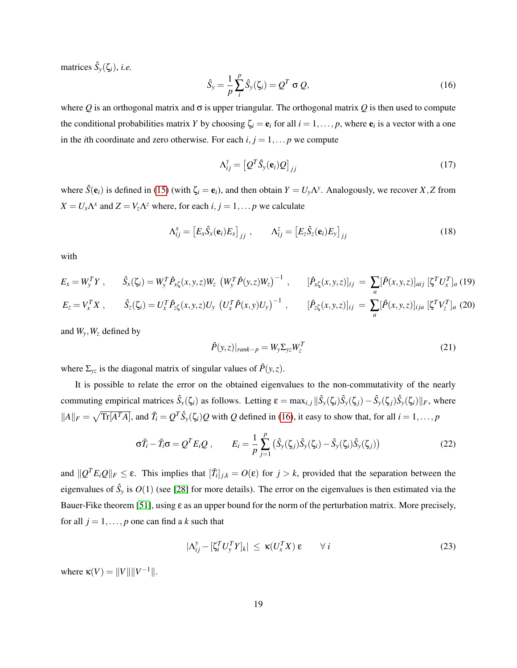matrices  $\hat{S}_y(\zeta_i)$ , *i.e.* 

<span id="page-18-0"></span>
$$
\hat{S}_y = \frac{1}{p} \sum_{i}^{p} \hat{S}_y(\zeta_i) = Q^T \sigma Q, \qquad (16)
$$

where *Q* is an orthogonal matrix and σ is upper triangular. The orthogonal matrix *Q* is then used to compute the conditional probabilities matrix *Y* by choosing  $\zeta_i = e_i$  for all  $i = 1, ..., p$ , where  $e_i$  is a vector with a one in the *i*th coordinate and zero otherwise. For each  $i, j = 1, \ldots p$  we compute

$$
\Lambda_{ij}^{\mathbf{y}} = \left[ \mathcal{Q}^T \hat{\mathbf{S}}_{\mathbf{y}}(\mathbf{e}_i) \mathcal{Q} \right]_{jj} \tag{17}
$$

where  $\hat{S}(\mathbf{e}_i)$  is defined in [\(15\)](#page-17-1) (with  $\zeta_i = \mathbf{e}_i$ ), and then obtain  $Y = U_y \Lambda^y$ . Analogously, we recover *X*, *Z* from  $X = U_x \Lambda^x$  and  $Z = V_z \Lambda^z$  where, for each  $i, j = 1, \dots p$  we calculate

$$
\Lambda_{ij}^{x} = \left[ E_x \hat{S}_x(\mathbf{e}_i) E_x \right]_{jj} , \qquad \Lambda_{ij}^{z} = \left[ E_z \hat{S}_z(\mathbf{e}_i) E_y \right]_{jj}
$$
(18)

with

$$
E_x = W_y^T Y, \qquad \hat{S}_x(\zeta_i) = W_y^T \hat{P}_{x\zeta}(x, y, z) W_z \left( W_y^T \hat{P}(y, z) W_z \right)^{-1}, \qquad [\hat{P}_{x\zeta}(x, y, z)]_{ij} = \sum_a [\hat{P}(x, y, z)]_{aij} \left[ \zeta^T U_x^T \right]_{a} (19)
$$
  

$$
E_z = V_x^T X, \qquad \hat{S}_z(\zeta_i) = U_x^T \hat{P}_{z\zeta}(x, y, z) U_y \left( U_x^T \hat{P}(x, y) U_y \right)^{-1}, \qquad [\hat{P}_{z\zeta}(x, y, z)]_{ij} = \sum_a [\hat{P}(x, y, z)]_{ija} \left[ \zeta^T V_z^T \right]_{a} (20)
$$

and  $W_v$ ,  $W_z$  defined by

$$
\hat{P}(y,z)|_{rank-p} = W_y \Sigma_{yz} W_z^T
$$
\n(21)

where  $\Sigma_{yz}$  is the diagonal matrix of singular values of  $\hat{P}(y, z)$ .

It is possible to relate the error on the obtained eigenvalues to the non-commutativity of the nearly commuting empirical matrices  $\hat{S}_y(\zeta_i)$  as follows. Letting  $\varepsilon = \max_{i,j} ||\hat{S}_y(\zeta_i)\hat{S}_y(\zeta_j) - \hat{S}_y(\zeta_j)\hat{S}_y(\zeta_i)||_F$ , where  $||A||_F = \sqrt{\text{Tr}[A^T A]}$ , and  $\tilde{T}_i = Q^T \hat{S}_y(\zeta_i)Q$  with *Q* defined in [\(16\)](#page-18-0), it easy to show that, for all  $i = 1, \ldots, p$ 

$$
\sigma \tilde{T}_i - \tilde{T}_i \sigma = Q^T E_i Q , \qquad E_i = \frac{1}{p} \sum_{j=1}^p \left( \hat{S}_y(\zeta_j) \hat{S}_y(\zeta_i) - \hat{S}_y(\zeta_i) \hat{S}_y(\zeta_j) \right)
$$
(22)

and  $\|Q^T E_i Q\|_F \leq \varepsilon$ . This implies that  $[\tilde{T}_i]_{j,k} = O(\varepsilon)$  for  $j > k$ , provided that the separation between the eigenvalues of  $\hat{S}_y$  is  $O(1)$  (see [\[28\]](#page-13-5) for more details). The error on the eigenvalues is then estimated via the Bauer-Fike theorem [\[51\]](#page-15-5), using  $\varepsilon$  as an upper bound for the norm of the perturbation matrix. More precisely, for all  $j = 1, \ldots, p$  one can find a k such that

$$
|\Lambda_{ij}^y - [\zeta_i^T U_y^T Y]_k| \le \kappa (U_x^T X) \, \varepsilon \qquad \forall \, i \tag{23}
$$

where  $\kappa(V) = ||V|| ||V^{-1}||.$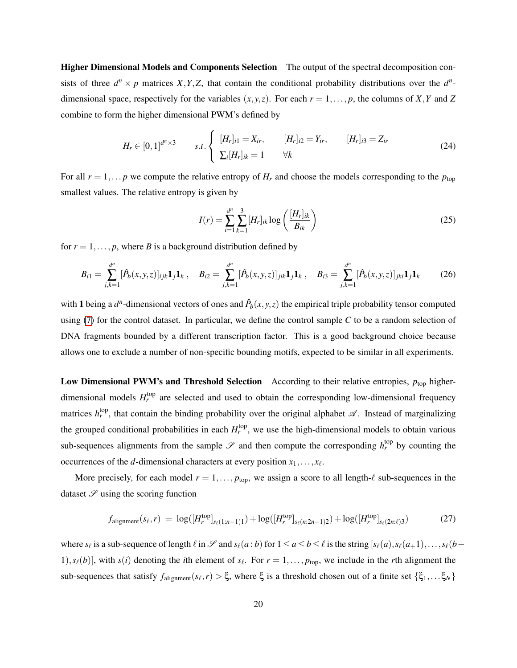Higher Dimensional Models and Components Selection The output of the spectral decomposition consists of three  $d^n \times p$  matrices *X*, *Y*, *Z*, that contain the conditional probability distributions over the  $d^n$ dimensional space, respectively for the variables  $(x, y, z)$ . For each  $r = 1, \ldots, p$ , the columns of *X*, *Y* and *Z* combine to form the higher dimensional PWM's defined by

$$
H_r \in [0,1]^{d^n \times 3} \qquad s.t. \begin{cases} [H_r]_{i1} = X_{ir}, & [H_r]_{i2} = Y_{ir}, & [H_r]_{i3} = Z_{ir} \\ \sum_i [H_r]_{ik} = 1 & \forall k \end{cases}
$$
(24)

For all  $r = 1, \ldots p$  we compute the relative entropy of  $H_r$  and choose the models corresponding to the  $p_{\text{top}}$ smallest values. The relative entropy is given by

<span id="page-19-1"></span>
$$
I(r) = \sum_{i=1}^{d^n} \sum_{k=1}^3 [H_r]_{ik} \log \left( \frac{[H_r]_{ik}}{B_{ik}} \right)
$$
 (25)

for  $r = 1, \ldots, p$ , where *B* is a background distribution defined by

<span id="page-19-0"></span>
$$
B_{i1} = \sum_{j,k=1}^{d^n} [\hat{P}_b(x,y,z)]_{ijk} \mathbf{1}_j \mathbf{1}_k , \quad B_{i2} = \sum_{j,k=1}^{d^n} [\hat{P}_b(x,y,z)]_{jik} \mathbf{1}_j \mathbf{1}_k , \quad B_{i3} = \sum_{j,k=1}^{d^n} [\hat{P}_b(x,y,z)]_{jki} \mathbf{1}_j \mathbf{1}_k \tag{26}
$$

with 1 being a  $d^n$ -dimensional vectors of ones and  $\hat{P}_b(x, y, z)$  the empirical triple probability tensor computed using [\(7\)](#page-16-0) for the control dataset. In particular, we define the control sample *C* to be a random selection of DNA fragments bounded by a different transcription factor. This is a good background choice because allows one to exclude a number of non-specific bounding motifs, expected to be similar in all experiments.

Low Dimensional PWM's and Threshold Selection According to their relative entropies,  $p_{\text{top}}$  higherdimensional models  $H_r^{\text{top}}$  are selected and used to obtain the corresponding low-dimensional frequency matrices  $h_r^{\text{top}}$ , that contain the binding probability over the original alphabet  $\mathscr A$ . Instead of marginalizing the grouped conditional probabilities in each  $H_r^{top}$ , we use the high-dimensional models to obtain various sub-sequences alignments from the sample  $\mathscr S$  and then compute the corresponding  $h_r^{\text{top}}$  by counting the occurrences of the *d*-dimensional characters at every position  $x_1, \ldots, x_\ell$ .

More precisely, for each model  $r = 1, \ldots, p_{top}$ , we assign a score to all length- $\ell$  sub-sequences in the dataset  $\mathscr S$  using the scoring function

$$
f_{\text{alignment}}(s_{\ell}, r) = \log([H_r^{\text{top}}]_{s_{\ell}(1:n-1)1}) + \log([H_r^{\text{top}}]_{s_{\ell}(n:2n-1)2}) + \log([H_r^{\text{top}}]_{s_{\ell}(2n:\ell)3})
$$
(27)

where  $s_\ell$  is a sub-sequence of length  $\ell$  in  $\mathscr S$  and  $s_\ell(a:b)$  for  $1 \le a \le b \le \ell$  is the string  $[s_\ell(a), s_\ell(a+1), \ldots, s_\ell(b-1)]$ 1),  $s_{\ell}(b)$ , with  $s(i)$  denoting the *i*th element of  $s_{\ell}$ . For  $r = 1, \ldots, p_{top}$ , we include in the *r*th alignment the sub-sequences that satisfy  $f_{\text{alignment}}(s_\ell, r) > \xi$ , where  $\xi$  is a threshold chosen out of a finite set  $\{\xi_1, \dots \xi_N\}$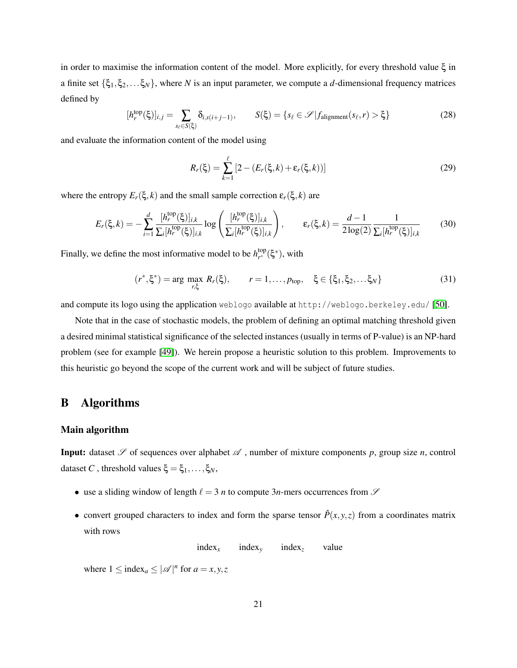in order to maximise the information content of the model. More explicitly, for every threshold value ξ in a finite set {ξ1,ξ2,...ξ*N*}, where *N* is an input parameter, we compute a *d*-dimensional frequency matrices defined by

<span id="page-20-1"></span>
$$
[h_r^{\text{top}}(\xi)]_{i,j} = \sum_{s_\ell \in S(\xi)} \delta_{i,s(i+j-1)}, \qquad S(\xi) = \{s_\ell \in \mathcal{S} | f_{\text{alignment}}(s_\ell, r) > \xi\}
$$
(28)

and evaluate the information content of the model using

<span id="page-20-2"></span>
$$
R_r(\xi) = \sum_{k=1}^{\ell} \left[ 2 - (E_r(\xi, k) + \varepsilon_r(\xi, k)) \right]
$$
 (29)

where the entropy  $E_r(\xi, k)$  and the small sample correction  $\varepsilon_r(\xi, k)$  are

$$
E_r(\xi,k) = -\sum_{i=1}^d \frac{[h_r^{\text{top}}(\xi)]_{i,k}}{\sum_i [h_r^{\text{top}}(\xi)]_{i,k}} \log \left( \frac{[h_r^{\text{top}}(\xi)]_{i,k}}{\sum_i [h_r^{\text{top}}(\xi)]_{i,k}} \right), \qquad \varepsilon_r(\xi,k) = \frac{d-1}{2 \log(2)} \frac{1}{\sum_i [h_r^{\text{top}}(\xi)]_{i,k}} \tag{30}
$$

Finally, we define the most informative model to be  $h_{r^*}^{top}$  $_{r^*}^{top}$ (ξ<sup>\*</sup>), with

$$
(r^*, \xi^*) = \arg \max_{r, \xi} R_r(\xi), \qquad r = 1, \dots, p_{top}, \quad \xi \in \{\xi_1, \xi_2, \dots, \xi_N\}
$$
(31)

and compute its logo using the application weblogo available at http://weblogo.berkeley.edu/ [\[50\]](#page-15-4).

Note that in the case of stochastic models, the problem of defining an optimal matching threshold given a desired minimal statistical significance of the selected instances (usually in terms of P-value) is an NP-hard problem (see for example [\[49\]](#page-15-3)). We herein propose a heuristic solution to this problem. Improvements to this heuristic go beyond the scope of the current work and will be subject of future studies.

## <span id="page-20-0"></span>B Algorithms

#### Main algorithm

**Input:** dataset  $\mathscr S$  of sequences over alphabet  $\mathscr A$ , number of mixture components p, group size *n*, control dataset *C*, threshold values  $\xi = \xi_1, \ldots, \xi_N$ ,

- use a sliding window of length  $\ell = 3$  *n* to compute 3*n*-mers occurrences from  $\mathscr S$
- convert grouped characters to index and form the sparse tensor  $\hat{P}(x, y, z)$  from a coordinates matrix with rows

index*<sup>x</sup>* index*<sup>y</sup>* index*<sup>z</sup>* value

where  $1 \leq \text{index}_a \leq |\mathcal{A}|^n$  for  $a = x, y, z$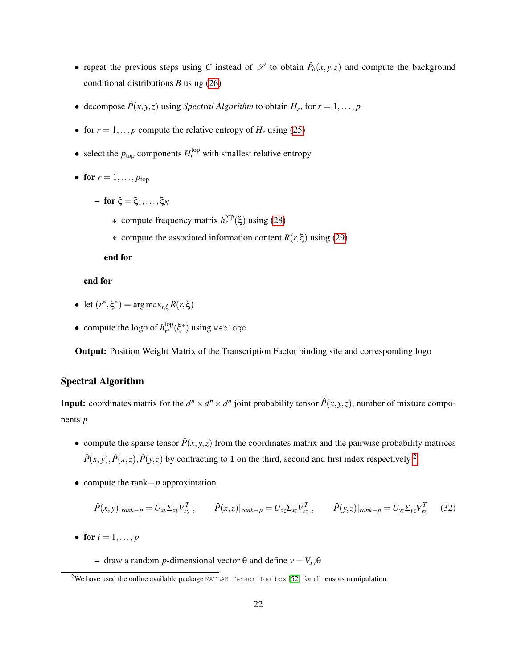- repeat the previous steps using *C* instead of  $\mathscr S$  to obtain  $\hat P_b(x, y, z)$  and compute the background conditional distributions *B* using [\(26\)](#page-19-0)
- decompose  $\hat{P}(x, y, z)$  using *Spectral Algorithm* to obtain  $H_r$ , for  $r = 1, \ldots, p$
- for  $r = 1, \ldots p$  compute the relative entropy of  $H_r$  using [\(25\)](#page-19-1)
- select the  $p_{\text{top}}$  components  $H_r^{\text{top}}$  with smallest relative entropy
- for  $r = 1, \ldots, p_{\text{top}}$ 
	- for ξ = ξ1,...,ξ*<sup>N</sup>*
		- ∗ compute frequency matrix *h*<sup>top</sup>(ξ) using [\(28\)](#page-20-1)
		- ∗ compute the associated information content *R*(*r*,ξ) using [\(29\)](#page-20-2)

end for

### end for

- $\bullet$  let  $(r^*, \xi^*)$  = arg max<sub>*r*, $\xi$ </sub>  $R(r, \xi)$
- compute the logo of  $h_{r^*}^{top}$  $_{r^{\ast }}^{top}(\xi^{\ast })$  **using** weblogo

Output: Position Weight Matrix of the Transcription Factor binding site and corresponding logo

### Spectral Algorithm

**Input:** coordinates matrix for the  $d^n \times d^n \times d^n$  joint probability tensor  $\hat{P}(x, y, z)$ , number of mixture components *p*

- compute the sparse tensor  $\hat{P}(x, y, z)$  from the coordinates matrix and the pairwise probability matrices  $\hat{P}(x, y)$ ,  $\hat{P}(x, z)$ ,  $\hat{P}(y, z)$  by contracting to 1 on the third, second and first index respectively <sup>[2](#page-21-0)</sup>
- compute the rank−*p* approximation

$$
\hat{P}(x,y)|_{rank-p} = U_{xy} \Sigma_{xy} V_{xy}^T, \qquad \hat{P}(x,z)|_{rank-p} = U_{xz} \Sigma_{xz} V_{xz}^T, \qquad \hat{P}(y,z)|_{rank-p} = U_{yz} \Sigma_{yz} V_{yz}^T \qquad (32)
$$

• for  $i = 1, ..., p$ 

 $\sim$  draw a random *p*-dimensional vector θ and define  $v = V_{xy}$ θ

<span id="page-21-0"></span><sup>&</sup>lt;sup>2</sup>We have used the online available package MATLAB Tensor Toolbox [\[52\]](#page-15-6) for all tensors manipulation.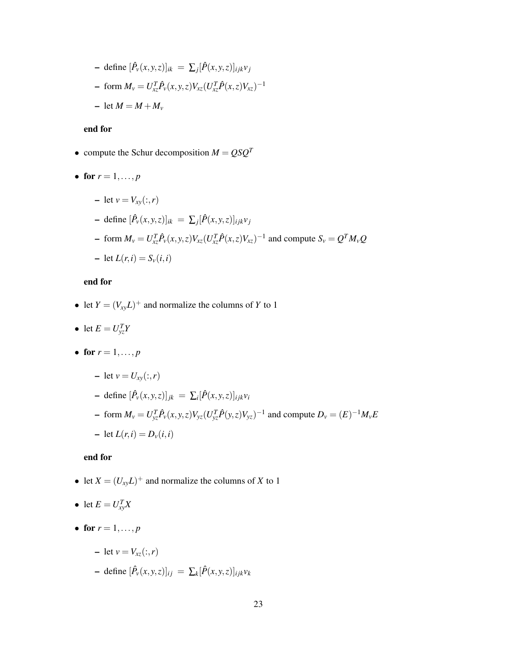- define 
$$
[\hat{P}_v(x, y, z)]_{ik} = \sum_j [\hat{P}(x, y, z)]_{ijk} v_j
$$
  
\n- form  $M_v = U_{xz}^T \hat{P}_v(x, y, z) V_{xz} (U_{xz}^T \hat{P}(x, z) V_{xz})^{-1}$   
\n- let  $M = M + M_v$ 

#### end for

- compute the Schur decomposition  $M = QSQ^T$
- for  $r = 1, ..., p$ 
	- $-$  let  $v = V_{xy}(:, r)$

- define 
$$
[\hat{P}_v(x, y, z)]_{ik} = \sum_j [\hat{P}(x, y, z)]_{ijk} v_j
$$
  
\n- form  $M_v = U_{xz}^T \hat{P}_v(x, y, z) V_{xz} (U_{xz}^T \hat{P}(x, z) V_{xz})^{-1}$  and compute  $S_v = Q^T M_v Q$   
\n- let  $L(r, i) = S_v(i, i)$ 

### end for

- let  $Y = (V_{xy}L)^+$  and normalize the columns of *Y* to 1
- let  $E = U_{yz}^T Y$
- for  $r = 1, ..., p$ 
	- $-$  let  $v = U_{xy}(:,r)$
	- $\mathbf{P} = \text{define } [\hat{P}_v(x, y, z)]_{jk} = \sum_i [\hat{P}(x, y, z)]_{ijk} v_i$
	- form  $M_v = U_{yz}^T \hat{P}_v(x, y, z) V_{yz} (U_{yz}^T \hat{P}(y, z) V_{yz})^{-1}$  and compute  $D_v = (E)^{-1} M_v E$  $-$  let  $L(r, i) = D_v(i, i)$

#### end for

- let  $X = (U_{xy}L)^+$  and normalize the columns of *X* to 1
- let  $E = U_{xy}^T X$
- for  $r = 1, ..., p$

$$
- \text{ let } v = V_{xz}(:,r)
$$

 $-$  define  $[\hat{P}_v(x, y, z)]_{ij} = \sum_k [\hat{P}(x, y, z)]_{ijk} v_k$